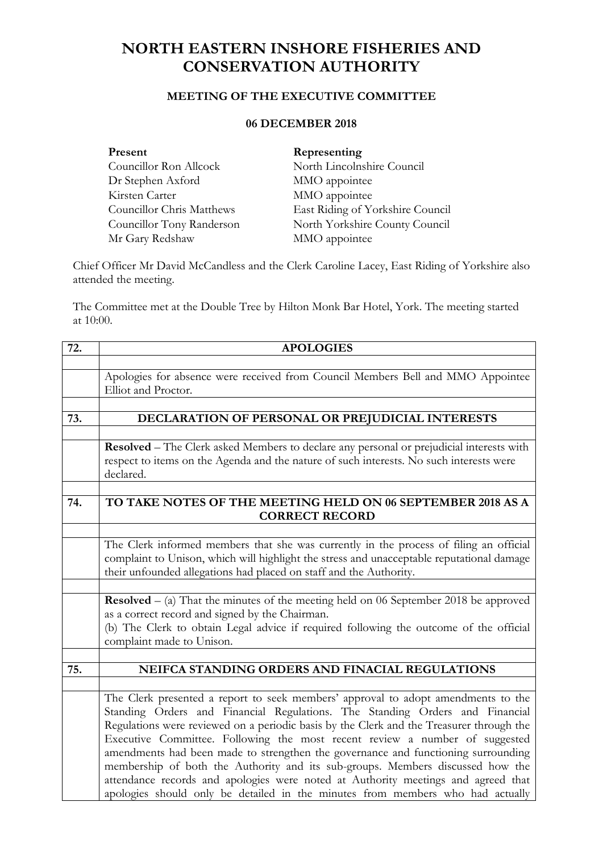## **NORTH EASTERN INSHORE FISHERIES AND CONSERVATION AUTHORITY**

## **MEETING OF THE EXECUTIVE COMMITTEE**

## **06 DECEMBER 2018**

| Present                   | Representing                     |
|---------------------------|----------------------------------|
| Councillor Ron Allcock    | North Lincolnshire Council       |
| Dr Stephen Axford         | MMO appointee                    |
| Kirsten Carter            | MMO appointee                    |
| Councillor Chris Matthews | East Riding of Yorkshire Council |
| Councillor Tony Randerson | North Yorkshire County Council   |
| Mr Gary Redshaw           | MMO appointee                    |

Chief Officer Mr David McCandless and the Clerk Caroline Lacey, East Riding of Yorkshire also attended the meeting.

The Committee met at the Double Tree by Hilton Monk Bar Hotel, York. The meeting started at 10:00.

| 72. | <b>APOLOGIES</b>                                                                                                                                                                                                                                                                                                                                                                                                                                                                                                                                                                                                                                                                           |  |
|-----|--------------------------------------------------------------------------------------------------------------------------------------------------------------------------------------------------------------------------------------------------------------------------------------------------------------------------------------------------------------------------------------------------------------------------------------------------------------------------------------------------------------------------------------------------------------------------------------------------------------------------------------------------------------------------------------------|--|
|     |                                                                                                                                                                                                                                                                                                                                                                                                                                                                                                                                                                                                                                                                                            |  |
|     | Apologies for absence were received from Council Members Bell and MMO Appointee<br>Elliot and Proctor.                                                                                                                                                                                                                                                                                                                                                                                                                                                                                                                                                                                     |  |
|     |                                                                                                                                                                                                                                                                                                                                                                                                                                                                                                                                                                                                                                                                                            |  |
| 73. | DECLARATION OF PERSONAL OR PREJUDICIAL INTERESTS                                                                                                                                                                                                                                                                                                                                                                                                                                                                                                                                                                                                                                           |  |
|     |                                                                                                                                                                                                                                                                                                                                                                                                                                                                                                                                                                                                                                                                                            |  |
|     | Resolved - The Clerk asked Members to declare any personal or prejudicial interests with                                                                                                                                                                                                                                                                                                                                                                                                                                                                                                                                                                                                   |  |
|     | respect to items on the Agenda and the nature of such interests. No such interests were<br>declared.                                                                                                                                                                                                                                                                                                                                                                                                                                                                                                                                                                                       |  |
|     |                                                                                                                                                                                                                                                                                                                                                                                                                                                                                                                                                                                                                                                                                            |  |
| 74. | TO TAKE NOTES OF THE MEETING HELD ON 06 SEPTEMBER 2018 AS A<br><b>CORRECT RECORD</b>                                                                                                                                                                                                                                                                                                                                                                                                                                                                                                                                                                                                       |  |
|     |                                                                                                                                                                                                                                                                                                                                                                                                                                                                                                                                                                                                                                                                                            |  |
|     | The Clerk informed members that she was currently in the process of filing an official<br>complaint to Unison, which will highlight the stress and unacceptable reputational damage<br>their unfounded allegations had placed on staff and the Authority.                                                                                                                                                                                                                                                                                                                                                                                                                                  |  |
|     |                                                                                                                                                                                                                                                                                                                                                                                                                                                                                                                                                                                                                                                                                            |  |
|     | <b>Resolved</b> $-$ (a) That the minutes of the meeting held on 06 September 2018 be approved<br>as a correct record and signed by the Chairman.                                                                                                                                                                                                                                                                                                                                                                                                                                                                                                                                           |  |
|     | (b) The Clerk to obtain Legal advice if required following the outcome of the official<br>complaint made to Unison.                                                                                                                                                                                                                                                                                                                                                                                                                                                                                                                                                                        |  |
|     |                                                                                                                                                                                                                                                                                                                                                                                                                                                                                                                                                                                                                                                                                            |  |
| 75. | NEIFCA STANDING ORDERS AND FINACIAL REGULATIONS                                                                                                                                                                                                                                                                                                                                                                                                                                                                                                                                                                                                                                            |  |
|     |                                                                                                                                                                                                                                                                                                                                                                                                                                                                                                                                                                                                                                                                                            |  |
|     | The Clerk presented a report to seek members' approval to adopt amendments to the<br>Standing Orders and Financial Regulations. The Standing Orders and Financial<br>Regulations were reviewed on a periodic basis by the Clerk and the Treasurer through the<br>Executive Committee. Following the most recent review a number of suggested<br>amendments had been made to strengthen the governance and functioning surrounding<br>membership of both the Authority and its sub-groups. Members discussed how the<br>attendance records and apologies were noted at Authority meetings and agreed that<br>apologies should only be detailed in the minutes from members who had actually |  |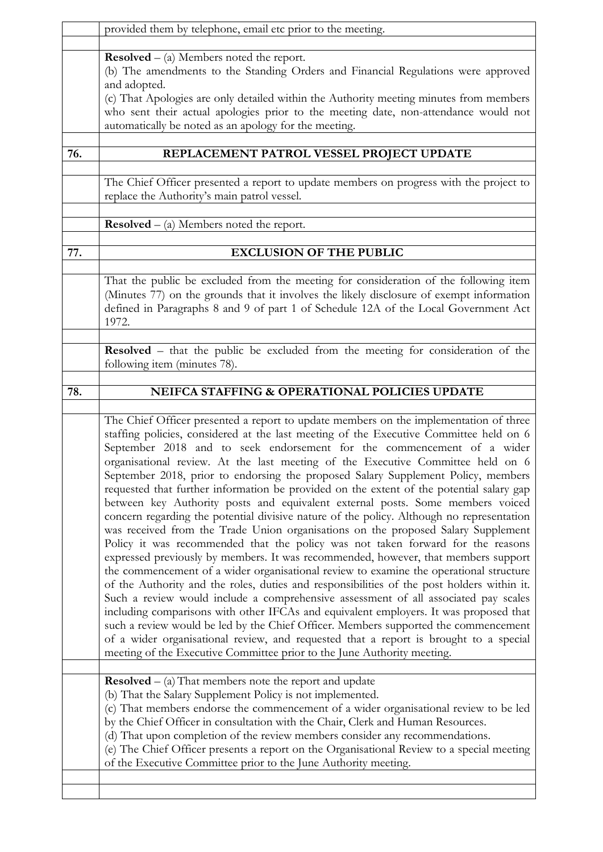|     | provided them by telephone, email etc prior to the meeting.                                                                                                                                                                                                                                                                                                                                                                                                                                                                                                                                                                                                                                                                                                                                                                                                                                                                                                                                                                                                                                                                                                                                                                                                                                                                                                                                                                                                                                                                                                                                                   |  |
|-----|---------------------------------------------------------------------------------------------------------------------------------------------------------------------------------------------------------------------------------------------------------------------------------------------------------------------------------------------------------------------------------------------------------------------------------------------------------------------------------------------------------------------------------------------------------------------------------------------------------------------------------------------------------------------------------------------------------------------------------------------------------------------------------------------------------------------------------------------------------------------------------------------------------------------------------------------------------------------------------------------------------------------------------------------------------------------------------------------------------------------------------------------------------------------------------------------------------------------------------------------------------------------------------------------------------------------------------------------------------------------------------------------------------------------------------------------------------------------------------------------------------------------------------------------------------------------------------------------------------------|--|
|     | <b>Resolved</b> $-$ (a) Members noted the report.<br>(b) The amendments to the Standing Orders and Financial Regulations were approved<br>and adopted.<br>(c) That Apologies are only detailed within the Authority meeting minutes from members<br>who sent their actual apologies prior to the meeting date, non-attendance would not<br>automatically be noted as an apology for the meeting.                                                                                                                                                                                                                                                                                                                                                                                                                                                                                                                                                                                                                                                                                                                                                                                                                                                                                                                                                                                                                                                                                                                                                                                                              |  |
| 76. | REPLACEMENT PATROL VESSEL PROJECT UPDATE                                                                                                                                                                                                                                                                                                                                                                                                                                                                                                                                                                                                                                                                                                                                                                                                                                                                                                                                                                                                                                                                                                                                                                                                                                                                                                                                                                                                                                                                                                                                                                      |  |
|     | The Chief Officer presented a report to update members on progress with the project to<br>replace the Authority's main patrol vessel.                                                                                                                                                                                                                                                                                                                                                                                                                                                                                                                                                                                                                                                                                                                                                                                                                                                                                                                                                                                                                                                                                                                                                                                                                                                                                                                                                                                                                                                                         |  |
|     | <b>Resolved</b> $-$ (a) Members noted the report.                                                                                                                                                                                                                                                                                                                                                                                                                                                                                                                                                                                                                                                                                                                                                                                                                                                                                                                                                                                                                                                                                                                                                                                                                                                                                                                                                                                                                                                                                                                                                             |  |
| 77. | <b>EXCLUSION OF THE PUBLIC</b>                                                                                                                                                                                                                                                                                                                                                                                                                                                                                                                                                                                                                                                                                                                                                                                                                                                                                                                                                                                                                                                                                                                                                                                                                                                                                                                                                                                                                                                                                                                                                                                |  |
|     | That the public be excluded from the meeting for consideration of the following item<br>(Minutes 77) on the grounds that it involves the likely disclosure of exempt information<br>defined in Paragraphs 8 and 9 of part 1 of Schedule 12A of the Local Government Act<br>1972.                                                                                                                                                                                                                                                                                                                                                                                                                                                                                                                                                                                                                                                                                                                                                                                                                                                                                                                                                                                                                                                                                                                                                                                                                                                                                                                              |  |
|     | Resolved - that the public be excluded from the meeting for consideration of the<br>following item (minutes 78).                                                                                                                                                                                                                                                                                                                                                                                                                                                                                                                                                                                                                                                                                                                                                                                                                                                                                                                                                                                                                                                                                                                                                                                                                                                                                                                                                                                                                                                                                              |  |
| 78. | NEIFCA STAFFING & OPERATIONAL POLICIES UPDATE                                                                                                                                                                                                                                                                                                                                                                                                                                                                                                                                                                                                                                                                                                                                                                                                                                                                                                                                                                                                                                                                                                                                                                                                                                                                                                                                                                                                                                                                                                                                                                 |  |
|     | The Chief Officer presented a report to update members on the implementation of three<br>staffing policies, considered at the last meeting of the Executive Committee held on 6<br>September 2018 and to seek endorsement for the commencement of a wider<br>organisational review. At the last meeting of the Executive Committee held on 6<br>September 2018, prior to endorsing the proposed Salary Supplement Policy, members<br>requested that further information be provided on the extent of the potential salary gap<br>between key Authority posts and equivalent external posts. Some members voiced<br>concern regarding the potential divisive nature of the policy. Although no representation<br>was received from the Trade Union organisations on the proposed Salary Supplement<br>Policy it was recommended that the policy was not taken forward for the reasons<br>expressed previously by members. It was recommended, however, that members support<br>the commencement of a wider organisational review to examine the operational structure<br>of the Authority and the roles, duties and responsibilities of the post holders within it.<br>Such a review would include a comprehensive assessment of all associated pay scales<br>including comparisons with other IFCAs and equivalent employers. It was proposed that<br>such a review would be led by the Chief Officer. Members supported the commencement<br>of a wider organisational review, and requested that a report is brought to a special<br>meeting of the Executive Committee prior to the June Authority meeting. |  |
|     | <b>Resolved</b> $-$ (a) That members note the report and update<br>(b) That the Salary Supplement Policy is not implemented.<br>(c) That members endorse the commencement of a wider organisational review to be led<br>by the Chief Officer in consultation with the Chair, Clerk and Human Resources.<br>(d) That upon completion of the review members consider any recommendations.<br>(e) The Chief Officer presents a report on the Organisational Review to a special meeting<br>of the Executive Committee prior to the June Authority meeting.                                                                                                                                                                                                                                                                                                                                                                                                                                                                                                                                                                                                                                                                                                                                                                                                                                                                                                                                                                                                                                                       |  |
|     |                                                                                                                                                                                                                                                                                                                                                                                                                                                                                                                                                                                                                                                                                                                                                                                                                                                                                                                                                                                                                                                                                                                                                                                                                                                                                                                                                                                                                                                                                                                                                                                                               |  |